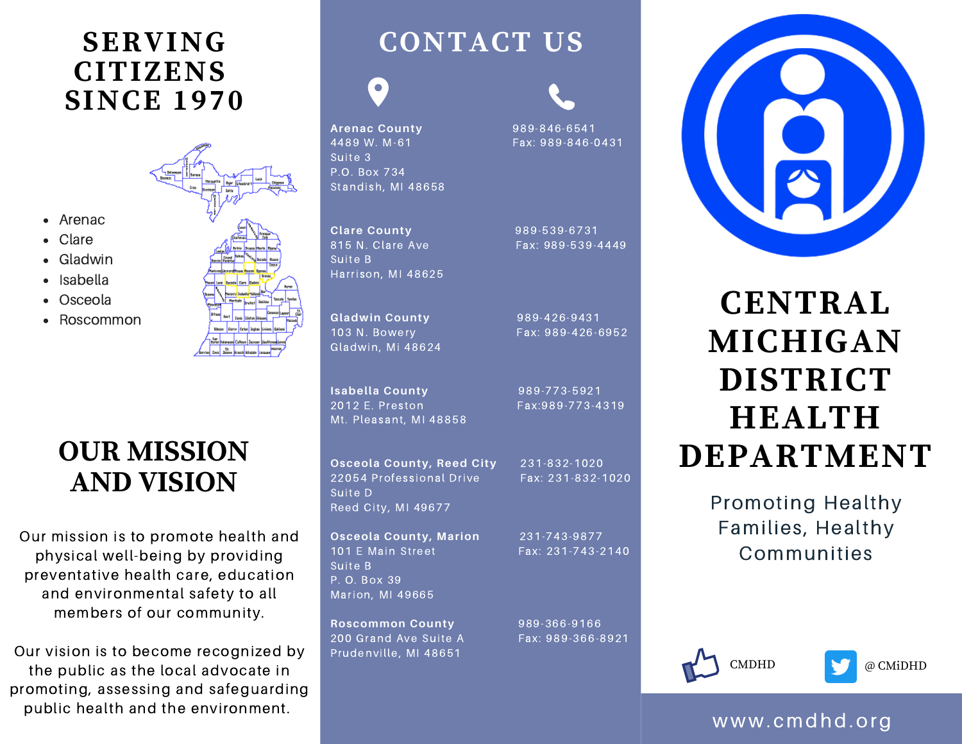### **SERVING CITIZENS SINCE 1970**

Arenac Clare Gladwin Isabella Osceola Roscommon



### **OUR MISSION AND VISION**

Our mission is to promote health and physical well-being by providing preventative health care, education and environmental safety to all members of our community.

Our vision is to become recognized by the public as the local advocate in promoting, assessing and safeguarding public health and the environment.

## **CONTACT US**

 $\bullet$ 

**Arenac County** 989-846-6541 4489 W. M-61 Fax: 989-846-0431 Suite 3 P.O. Box 734 Standish, MI 48658

**Clare County** 989-539-6731 815 N. Clare Ave Fax: 989-539-4449 Suite B Harrison, MI 48625

**Gladwin County** 989-426-9431 103 N. Bowery Fax: 989-426-6952 Gladwin, Mi 48624

**Isabella County 989-773-5921** 2012 E. Preston Fax:989-773-4319 Mt. Pleasant, MI 48858

Prudenville, MI 48651

Suite B P. O. Box 39 Marion, MI 49665

**Osceola County, Reed City** 231-832-1020 22054 Professional Drive Fax: 231-832-1020 Suite D Reed City, MI 49677

**Osceola County, Marion** 231-743-9877 101 E Main Street Fax: 231-743-2140

**Roscommon County** 989-366-9166 200 Grand Ave Suite A Fax: 989-366-8921



**CENTRAL MICHIGAN DISTRICT HEALTH DEPARTMENT**

> Promoting Healthy Families, Healthy Communities





### www. cmdhd.org